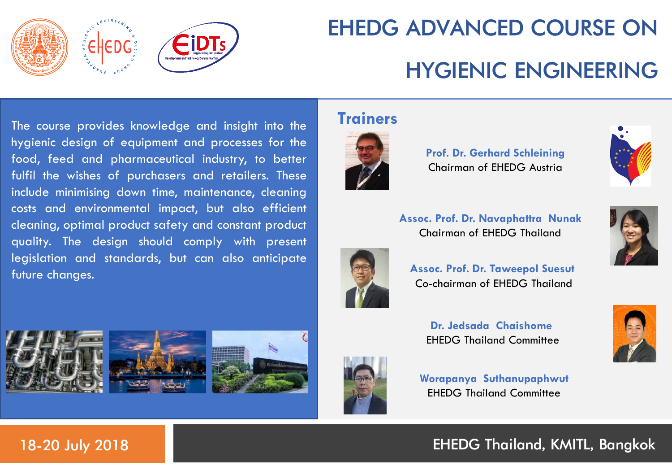

# EHEDG ADVANCED COURSE ON HYGIENIC ENGINEERING

The course provides knowledge and insight into the hygienic design of equipment and processes for the food, feed and pharmaceutical industry, to better fulfil the wishes of purchasers and retailers. These include minimising down time, maintenance, cleaning costs and environmental impact, but also efficient cleaning, optimal product safety and constant product quality. The design should comply with present legislation and standards, but can also anticipate future changes.

### **Trainers**



**Prof. Dr. Gerhard Schleining** Chairman of EHEDG Austria



**Assoc. Prof. Dr. Navaphattra Nunak** Chairman of EHEDG Thailand



**Assoc. Prof. Dr. Taweepol Suesut** Co-chairman of EHEDG Thailand





**Worapanya Suthanupaphwut**





**Dr. Jedsada Chaishome** EHEDG Thailand Committee

EHEDG Thailand Committee



### 18-20 July 2018 EHEDG Thailand, KMITL, Bangkok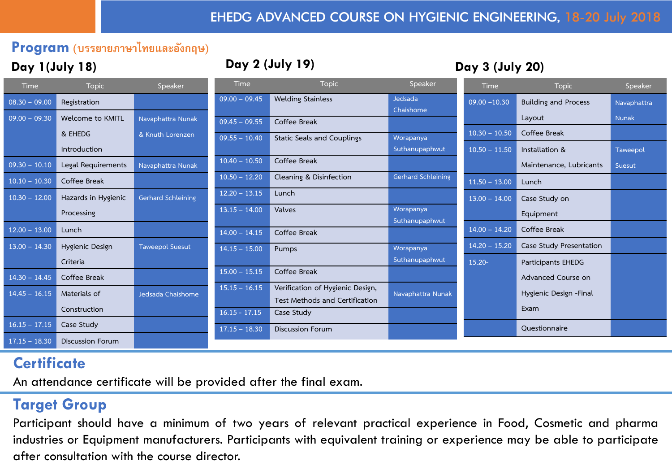#### **Program (บรรยายภาษาไทยและอังกฤษ)**

#### **Day 1(July 18) Day 2 (July 19) Day 3 (July 20)**

| <b>Time</b>     | <b>Topic</b>            | Speaker                   | <b>Time</b>     | <b>Topic</b>                      | Speaker              | <b>Time</b>     | <b>Topic</b>                | Speaker     |
|-----------------|-------------------------|---------------------------|-----------------|-----------------------------------|----------------------|-----------------|-----------------------------|-------------|
| $08.30 - 09.00$ | Registration            |                           | $09.00 - 09.45$ | <b>Welding Stainless</b>          | Jedsada<br>Chaishome | $09.00 - 10.30$ | <b>Building and Process</b> | Navaphattra |
| $09.00 - 09.30$ | Welcome to KMITL        | Navaphattra Nunak         | $09.45 - 09.55$ | Coffee Break                      |                      |                 | Layout                      | Nunak       |
|                 | & EHEDG                 | & Knuth Lorenzen          | $09.55 - 10.40$ | <b>Static Seals and Couplings</b> | Worapanya            | $10.30 - 10.50$ | Coffee Break                |             |
|                 | Introduction            |                           |                 |                                   | Suthanupaphwut       | $10.50 - 11.50$ | Installation &              | Taweepol    |
| $09.30 - 10.10$ | Legal Requirements      | Navaphattra Nunak         | $10.40 - 10.50$ | Coffee Break                      |                      |                 | Maintenance, Lubricants     | Suesut      |
| $10.10 - 10.30$ | Coffee Break            |                           | $10.50 - 12.20$ | Cleaning & Disinfection           | Gerhard Schleining   | $11.50 - 13.00$ | Lunch                       |             |
| $10.30 - 12.00$ | Hazards in Hygienic     | <b>Gerhard Schleining</b> | $12.20 - 13.15$ | Lunch                             |                      | $13.00 - 14.00$ | Case Study on               |             |
|                 | Processing              |                           | $13.15 - 14.00$ | Valves                            | Worapanya            |                 | Equipment                   |             |
| $12.00 - 13.00$ | Lunch                   |                           | $14.00 - 14.15$ | Coffee Break                      | Suthanupaphwut       | $14.00 - 14.20$ | Coffee Break                |             |
| $13.00 - 14.30$ | Hygienic Design         | <b>Taweepol Suesut</b>    | $14.15 - 15.00$ | Pumps                             | Worapanya            | $14.20 - 15.20$ | Case Study Presentation     |             |
|                 | Criteria                |                           |                 |                                   | Suthanupaphwut       | $15.20 -$       | <b>Participants EHEDG</b>   |             |
| $14.30 - 14.45$ | Coffee Break            |                           | $15.00 - 15.15$ | Coffee Break                      |                      |                 | Advanced Course on          |             |
| $14.45 - 16.15$ | Materials of            | Jedsada Chaishome         | $15.15 - 16.15$ | Verification of Hygienic Design,  | Navaphattra Nunak    |                 | Hygienic Design - Final     |             |
|                 |                         |                           |                 | Test Methods and Certification    |                      |                 |                             |             |
|                 | Construction            |                           | $16.15 - 17.15$ | Case Study                        |                      |                 | Exam                        |             |
| $16.15 - 17.15$ | Case Study              |                           | $17.15 - 18.30$ | <b>Discussion Forum</b>           |                      |                 | Questionnaire               |             |
| $17.15 - 18.30$ | <b>Discussion Forum</b> |                           |                 |                                   |                      |                 |                             |             |

### **Certificate**

An attendance certificate will be provided after the final exam.

#### **Target Group**

Participant should have a minimum of two years of relevant practical experience in Food, Cosmetic and pharma industries or Equipment manufacturers. Participants with equivalent training or experience may be able to participate after consultation with the course director.